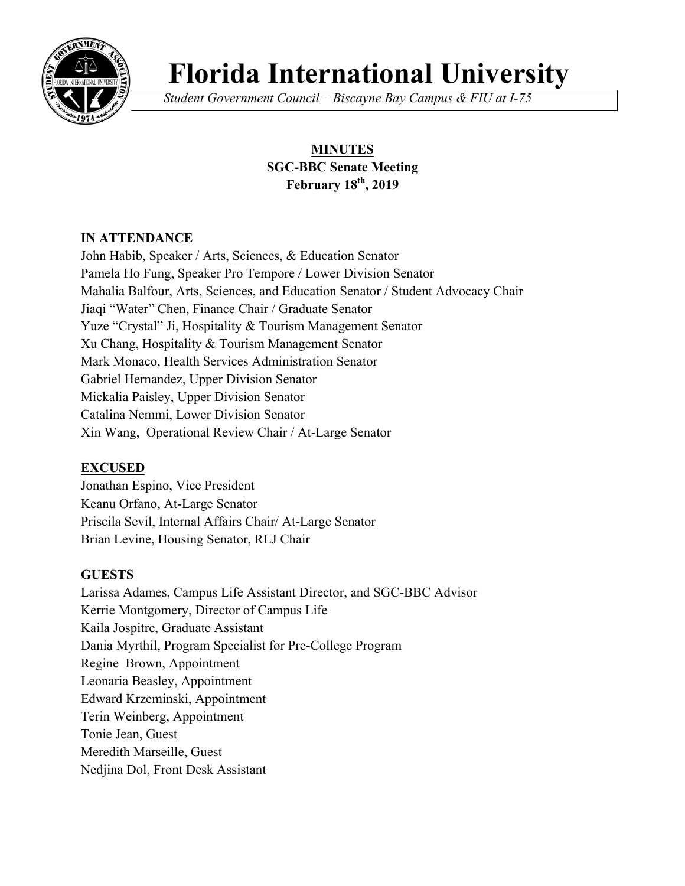

# **Florida International University**

*Student Government Council – Biscayne Bay Campus & FIU at I-75*

# **MINUTES SGC-BBC Senate Meeting February 18th, 2019**

# **IN ATTENDANCE**

John Habib, Speaker / Arts, Sciences, & Education Senator Pamela Ho Fung, Speaker Pro Tempore / Lower Division Senator Mahalia Balfour, Arts, Sciences, and Education Senator / Student Advocacy Chair Jiaqi "Water" Chen, Finance Chair / Graduate Senator Yuze "Crystal" Ji, Hospitality & Tourism Management Senator Xu Chang, Hospitality & Tourism Management Senator Mark Monaco, Health Services Administration Senator Gabriel Hernandez, Upper Division Senator Mickalia Paisley, Upper Division Senator Catalina Nemmi, Lower Division Senator Xin Wang, Operational Review Chair / At-Large Senator

# **EXCUSED**

Jonathan Espino, Vice President Keanu Orfano, At-Large Senator Priscila Sevil, Internal Affairs Chair/ At-Large Senator Brian Levine, Housing Senator, RLJ Chair

# **GUESTS**

Larissa Adames, Campus Life Assistant Director, and SGC-BBC Advisor Kerrie Montgomery, Director of Campus Life Kaila Jospitre, Graduate Assistant Dania Myrthil, Program Specialist for Pre-College Program Regine Brown, Appointment Leonaria Beasley, Appointment Edward Krzeminski, Appointment Terin Weinberg, Appointment Tonie Jean, Guest Meredith Marseille, Guest Nedjina Dol, Front Desk Assistant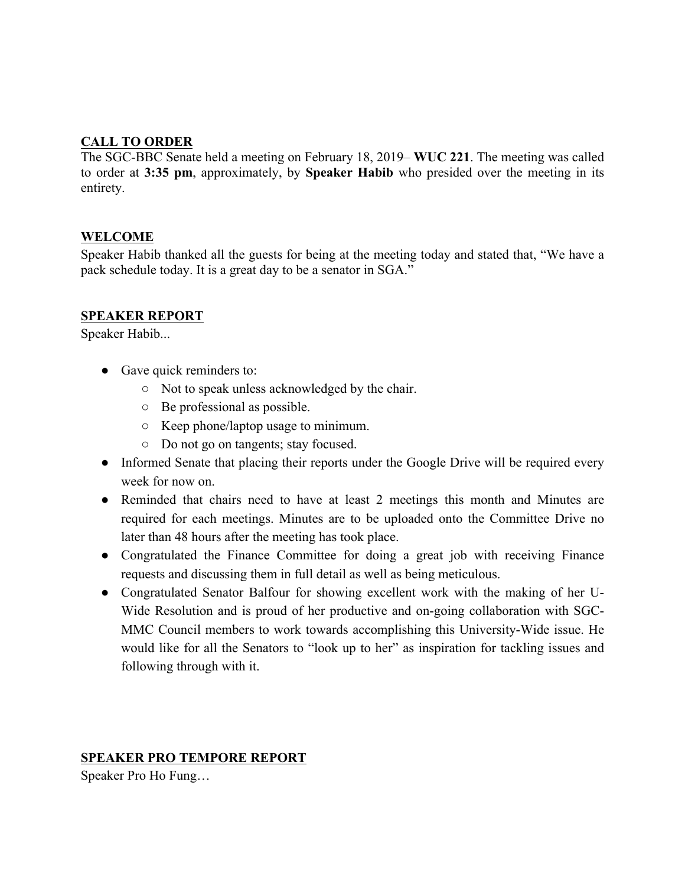## **CALL TO ORDER**

The SGC-BBC Senate held a meeting on February 18, 2019– **WUC 221**. The meeting was called to order at **3:35 pm**, approximately, by **Speaker Habib** who presided over the meeting in its entirety.

#### **WELCOME**

Speaker Habib thanked all the guests for being at the meeting today and stated that, "We have a pack schedule today. It is a great day to be a senator in SGA."

#### **SPEAKER REPORT**

Speaker Habib...

- Gave quick reminders to:
	- Not to speak unless acknowledged by the chair.
	- Be professional as possible.
	- Keep phone/laptop usage to minimum.
	- Do not go on tangents; stay focused.
- Informed Senate that placing their reports under the Google Drive will be required every week for now on.
- Reminded that chairs need to have at least 2 meetings this month and Minutes are required for each meetings. Minutes are to be uploaded onto the Committee Drive no later than 48 hours after the meeting has took place.
- Congratulated the Finance Committee for doing a great job with receiving Finance requests and discussing them in full detail as well as being meticulous.
- Congratulated Senator Balfour for showing excellent work with the making of her U-Wide Resolution and is proud of her productive and on-going collaboration with SGC-MMC Council members to work towards accomplishing this University-Wide issue. He would like for all the Senators to "look up to her" as inspiration for tackling issues and following through with it.

#### **SPEAKER PRO TEMPORE REPORT**

Speaker Pro Ho Fung…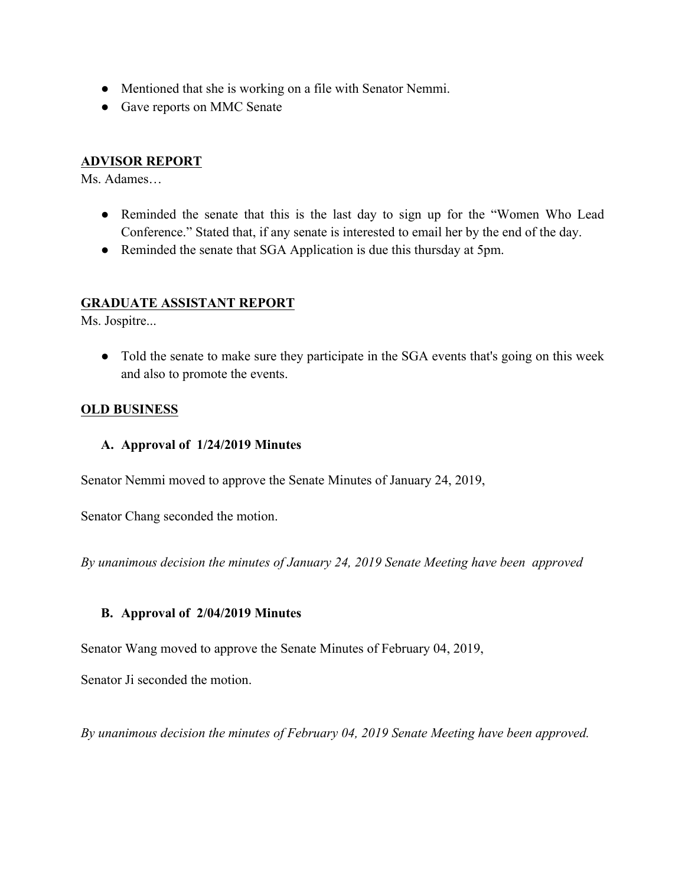- Mentioned that she is working on a file with Senator Nemmi.
- Gave reports on MMC Senate

### **ADVISOR REPORT**

Ms. Adames…

- Reminded the senate that this is the last day to sign up for the "Women Who Lead Conference." Stated that, if any senate is interested to email her by the end of the day.
- Reminded the senate that SGA Application is due this thursday at 5pm.

#### **GRADUATE ASSISTANT REPORT**

Ms. Jospitre...

• Told the senate to make sure they participate in the SGA events that's going on this week and also to promote the events.

#### **OLD BUSINESS**

**A. Approval of 1/24/2019 Minutes**

Senator Nemmi moved to approve the Senate Minutes of January 24, 2019,

Senator Chang seconded the motion.

*By unanimous decision the minutes of January 24, 2019 Senate Meeting have been approved*

#### **B. Approval of 2/04/2019 Minutes**

Senator Wang moved to approve the Senate Minutes of February 04, 2019,

Senator Ji seconded the motion.

*By unanimous decision the minutes of February 04, 2019 Senate Meeting have been approved.*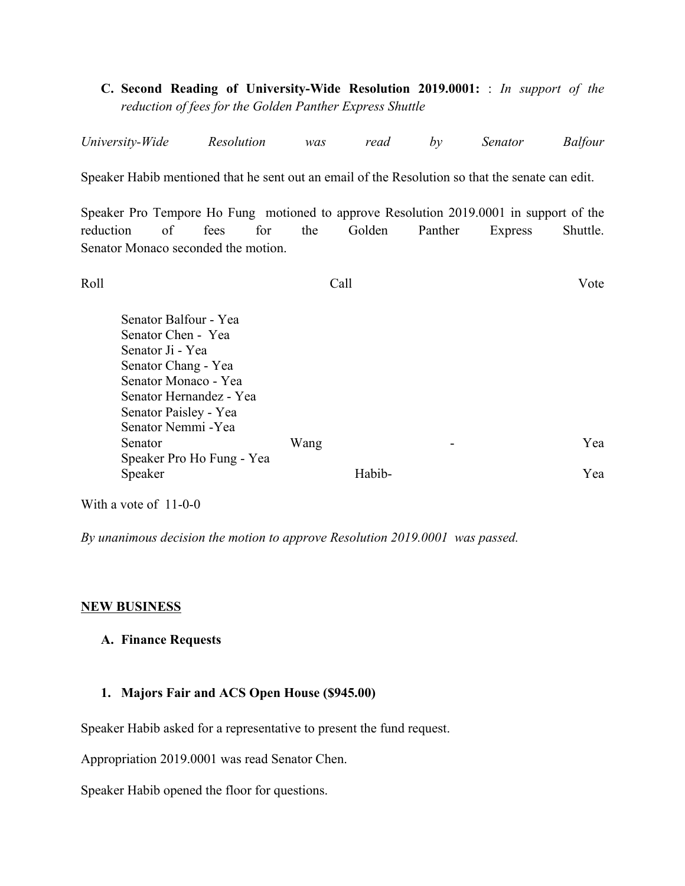**C. Second Reading of University-Wide Resolution 2019.0001:** : *In support of the reduction of fees for the Golden Panther Express Shuttle*

| University-Wide | Resolution | was | read | hν | Senator | Balfour |
|-----------------|------------|-----|------|----|---------|---------|
|                 |            |     |      |    |         |         |

Speaker Habib mentioned that he sent out an email of the Resolution so that the senate can edit.

Speaker Pro Tempore Ho Fung motioned to approve Resolution 2019.0001 in support of the reduction of fees for the Golden Panther Express Shuttle. Senator Monaco seconded the motion.

Roll Call Vote

| Senator Balfour - Yea<br>Senator Chen - Yea<br>Senator Ji - Yea<br>Senator Chang - Yea<br>Senator Monaco - Yea<br>Senator Hernandez - Yea<br>Senator Paisley - Yea |      |        |     |
|--------------------------------------------------------------------------------------------------------------------------------------------------------------------|------|--------|-----|
| Senator Nemmi - Yea                                                                                                                                                |      |        |     |
| Senator                                                                                                                                                            | Wang |        | Yea |
| Speaker Pro Ho Fung - Yea                                                                                                                                          |      |        |     |
| Speaker                                                                                                                                                            |      | Habih- | Yea |

With a vote of 11-0-0

*By unanimous decision the motion to approve Resolution 2019.0001 was passed.* 

#### **NEW BUSINESS**

#### **A. Finance Requests**

#### **1. Majors Fair and ACS Open House (\$945.00)**

Speaker Habib asked for a representative to present the fund request.

Appropriation 2019.0001 was read Senator Chen.

Speaker Habib opened the floor for questions.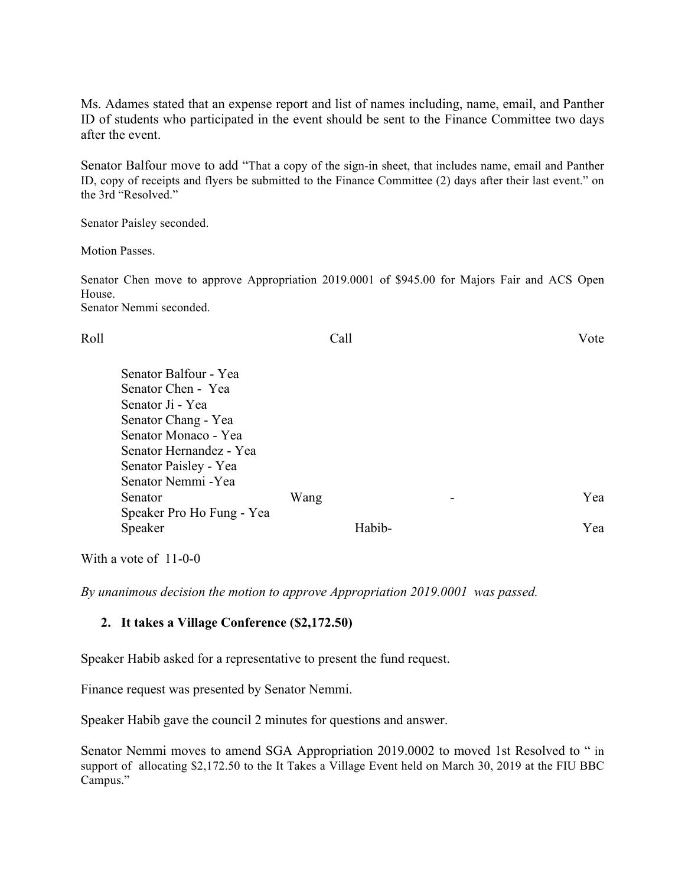Ms. Adames stated that an expense report and list of names including, name, email, and Panther ID of students who participated in the event should be sent to the Finance Committee two days after the event.

Senator Balfour move to add "That a copy of the sign-in sheet, that includes name, email and Panther ID, copy of receipts and flyers be submitted to the Finance Committee (2) days after their last event." on the 3rd "Resolved."

Senator Paisley seconded.

Motion Passes.

Senator Chen move to approve Appropriation 2019.0001 of \$945.00 for Majors Fair and ACS Open House. Senator Nemmi seconded.

| Roll                      | Call   | Vote |
|---------------------------|--------|------|
| Senator Balfour - Yea     |        |      |
| Senator Chen - Yea        |        |      |
| Senator Ji - Yea          |        |      |
| Senator Chang - Yea       |        |      |
| Senator Monaco - Yea      |        |      |
| Senator Hernandez - Yea   |        |      |
| Senator Paisley - Yea     |        |      |
| Senator Nemmi - Yea       |        |      |
| Senator                   | Wang   | Yea  |
| Speaker Pro Ho Fung - Yea |        |      |
| Speaker                   | Habib- | Yea  |

With a vote of 11-0-0

*By unanimous decision the motion to approve Appropriation 2019.0001 was passed.* 

#### **2. It takes a Village Conference (\$2,172.50)**

Speaker Habib asked for a representative to present the fund request.

Finance request was presented by Senator Nemmi.

Speaker Habib gave the council 2 minutes for questions and answer.

Senator Nemmi moves to amend SGA Appropriation 2019.0002 to moved 1st Resolved to " in support of allocating \$2,172.50 to the It Takes a Village Event held on March 30, 2019 at the FIU BBC Campus."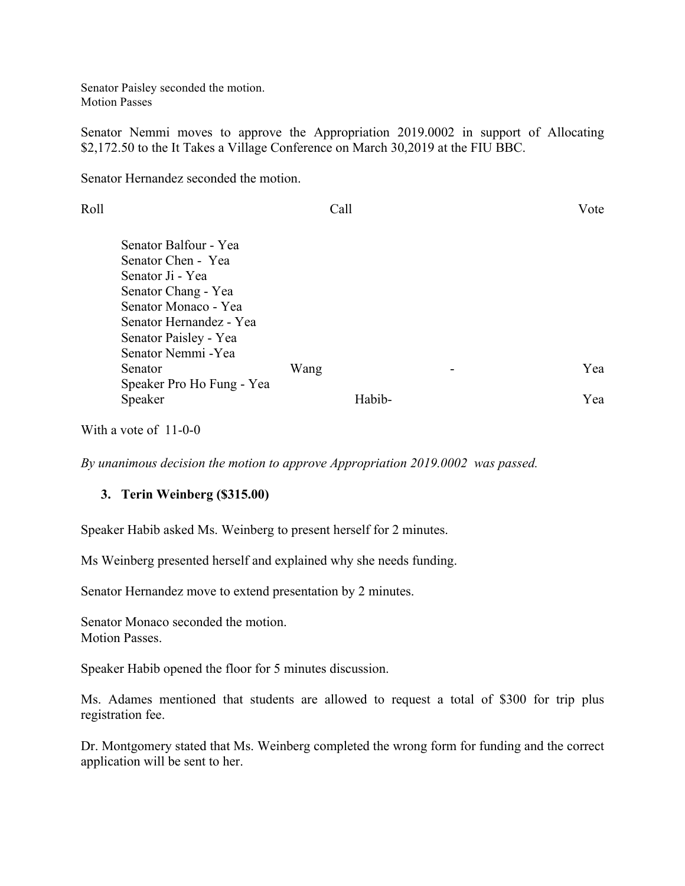Senator Paisley seconded the motion. Motion Passes

Senator Nemmi moves to approve the Appropriation 2019.0002 in support of Allocating \$2,172.50 to the It Takes a Village Conference on March 30,2019 at the FIU BBC.

Senator Hernandez seconded the motion.

| Roll |                                                                                                                                           | Call |        | Vote |
|------|-------------------------------------------------------------------------------------------------------------------------------------------|------|--------|------|
|      | Senator Balfour - Yea<br>Senator Chen - Yea<br>Senator Ji - Yea<br>Senator Chang - Yea<br>Senator Monaco - Yea<br>Senator Hernandez - Yea |      |        |      |
|      | Senator Paisley - Yea<br>Senator Nemmi - Yea<br>Senator                                                                                   | Wang |        | Yea  |
|      | Speaker Pro Ho Fung - Yea<br>Speaker                                                                                                      |      | Habib- | Yea  |

With a vote of 11-0-0

*By unanimous decision the motion to approve Appropriation 2019.0002 was passed.* 

#### **3. Terin Weinberg (\$315.00)**

Speaker Habib asked Ms. Weinberg to present herself for 2 minutes.

Ms Weinberg presented herself and explained why she needs funding.

Senator Hernandez move to extend presentation by 2 minutes.

Senator Monaco seconded the motion. Motion Passes.

Speaker Habib opened the floor for 5 minutes discussion.

Ms. Adames mentioned that students are allowed to request a total of \$300 for trip plus registration fee.

Dr. Montgomery stated that Ms. Weinberg completed the wrong form for funding and the correct application will be sent to her.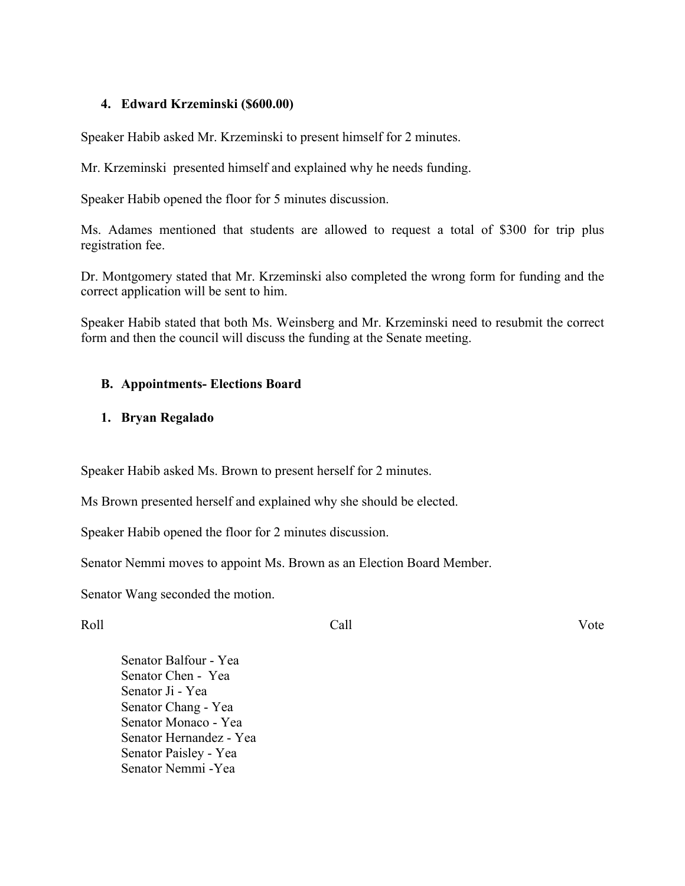#### **4. Edward Krzeminski (\$600.00)**

Speaker Habib asked Mr. Krzeminski to present himself for 2 minutes.

Mr. Krzeminski presented himself and explained why he needs funding.

Speaker Habib opened the floor for 5 minutes discussion.

Ms. Adames mentioned that students are allowed to request a total of \$300 for trip plus registration fee.

Dr. Montgomery stated that Mr. Krzeminski also completed the wrong form for funding and the correct application will be sent to him.

Speaker Habib stated that both Ms. Weinsberg and Mr. Krzeminski need to resubmit the correct form and then the council will discuss the funding at the Senate meeting.

#### **B. Appointments- Elections Board**

#### **1. Bryan Regalado**

Speaker Habib asked Ms. Brown to present herself for 2 minutes.

Ms Brown presented herself and explained why she should be elected.

Speaker Habib opened the floor for 2 minutes discussion.

Senator Nemmi moves to appoint Ms. Brown as an Election Board Member.

Senator Wang seconded the motion.

#### Roll Call Vote

Senator Balfour - Yea Senator Chen - Yea Senator Ji - Yea Senator Chang - Yea Senator Monaco - Yea Senator Hernandez - Yea Senator Paisley - Yea Senator Nemmi -Yea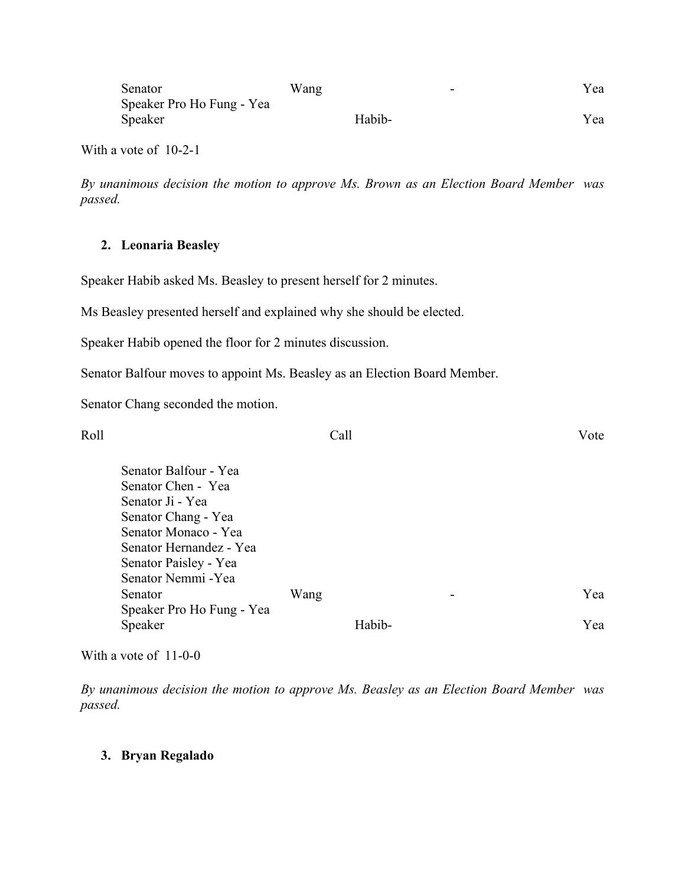| Senator                   | Wang |        | - | Yea |
|---------------------------|------|--------|---|-----|
| Speaker Pro Ho Fung - Yea |      |        |   |     |
| Speaker                   |      | Habib- |   | Yea |

With a vote of 10-2-1

*By unanimous decision the motion to approve Ms. Brown as an Election Board Member was passed.* 

#### **2. Leonaria Beasley**

Speaker Habib asked Ms. Beasley to present herself for 2 minutes.

Ms Beasley presented herself and explained why she should be elected.

Speaker Habib opened the floor for 2 minutes discussion.

Senator Balfour moves to appoint Ms. Beasley as an Election Board Member.

Senator Chang seconded the motion.

| Roll |                           | Call |        |   | Vote |
|------|---------------------------|------|--------|---|------|
|      | Senator Balfour - Yea     |      |        |   |      |
|      | Senator Chen - Yea        |      |        |   |      |
|      | Senator Ji - Yea          |      |        |   |      |
|      | Senator Chang - Yea       |      |        |   |      |
|      | Senator Monaco - Yea      |      |        |   |      |
|      | Senator Hernandez - Yea   |      |        |   |      |
|      | Senator Paisley - Yea     |      |        |   |      |
|      | Senator Nemmi - Yea       |      |        |   |      |
|      | Senator                   | Wang |        | - | Yea  |
|      | Speaker Pro Ho Fung - Yea |      |        |   |      |
|      | Speaker                   |      | Habib- |   | Yea  |
|      |                           |      |        |   |      |

With a vote of 11-0-0

*By unanimous decision the motion to approve Ms. Beasley as an Election Board Member was passed.* 

#### **3. Bryan Regalado**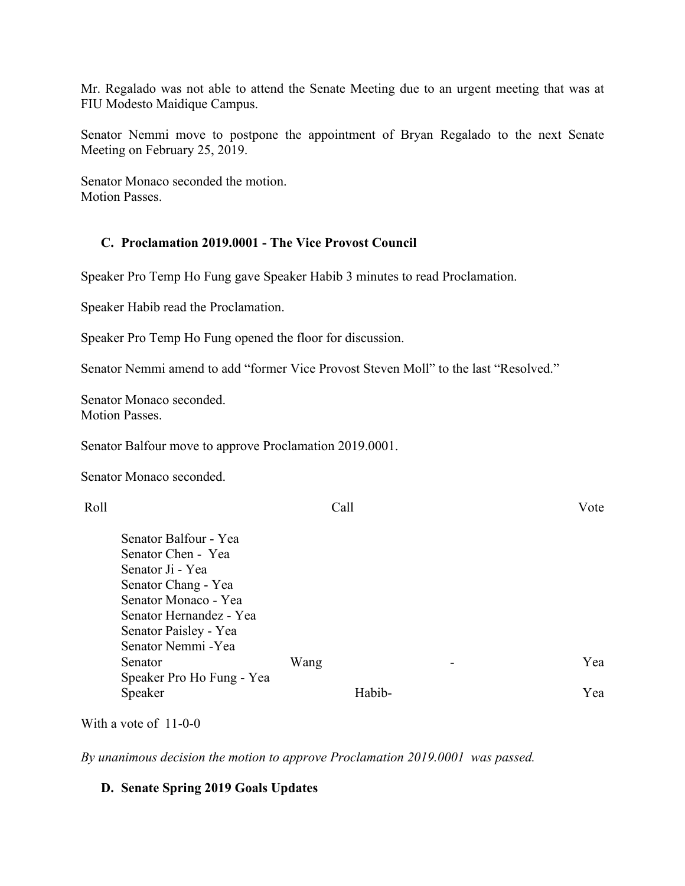Mr. Regalado was not able to attend the Senate Meeting due to an urgent meeting that was at FIU Modesto Maidique Campus.

Senator Nemmi move to postpone the appointment of Bryan Regalado to the next Senate Meeting on February 25, 2019.

Senator Monaco seconded the motion. Motion Passes.

#### **C. Proclamation 2019.0001 - The Vice Provost Council**

Speaker Pro Temp Ho Fung gave Speaker Habib 3 minutes to read Proclamation.

Speaker Habib read the Proclamation.

Speaker Pro Temp Ho Fung opened the floor for discussion.

Senator Nemmi amend to add "former Vice Provost Steven Moll" to the last "Resolved."

Senator Monaco seconded. Motion Passes.

Senator Balfour move to approve Proclamation 2019.0001.

Senator Monaco seconded.

| Roll |                           | Call |        |   | Vote |
|------|---------------------------|------|--------|---|------|
|      | Senator Balfour - Yea     |      |        |   |      |
|      | Senator Chen - Yea        |      |        |   |      |
|      | Senator Ji - Yea          |      |        |   |      |
|      | Senator Chang - Yea       |      |        |   |      |
|      | Senator Monaco - Yea      |      |        |   |      |
|      | Senator Hernandez - Yea   |      |        |   |      |
|      | Senator Paisley - Yea     |      |        |   |      |
|      | Senator Nemmi - Yea       |      |        |   |      |
|      | Senator                   | Wang |        | - | Yea  |
|      | Speaker Pro Ho Fung - Yea |      |        |   |      |
|      | Speaker                   |      | Habib- |   | Yea  |

With a vote of 11-0-0

*By unanimous decision the motion to approve Proclamation 2019.0001 was passed.* 

#### **D. Senate Spring 2019 Goals Updates**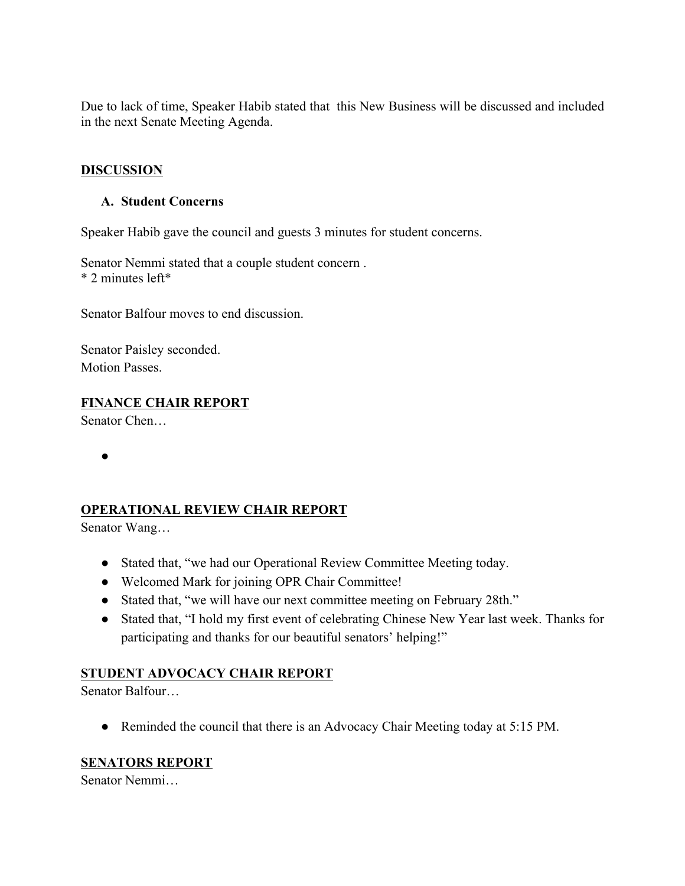Due to lack of time, Speaker Habib stated that this New Business will be discussed and included in the next Senate Meeting Agenda.

#### **DISCUSSION**

#### **A. Student Concerns**

Speaker Habib gave the council and guests 3 minutes for student concerns.

Senator Nemmi stated that a couple student concern . \* 2 minutes left\*

Senator Balfour moves to end discussion.

Senator Paisley seconded. Motion Passes.

## **FINANCE CHAIR REPORT**

Senator Chen…

●

#### **OPERATIONAL REVIEW CHAIR REPORT**

Senator Wang…

- Stated that, "we had our Operational Review Committee Meeting today.
- Welcomed Mark for joining OPR Chair Committee!
- Stated that, "we will have our next committee meeting on February 28th."
- Stated that, "I hold my first event of celebrating Chinese New Year last week. Thanks for participating and thanks for our beautiful senators' helping!"

# **STUDENT ADVOCACY CHAIR REPORT**

Senator Balfour…

● Reminded the council that there is an Advocacy Chair Meeting today at 5:15 PM.

#### **SENATORS REPORT**

Senator Nemmi…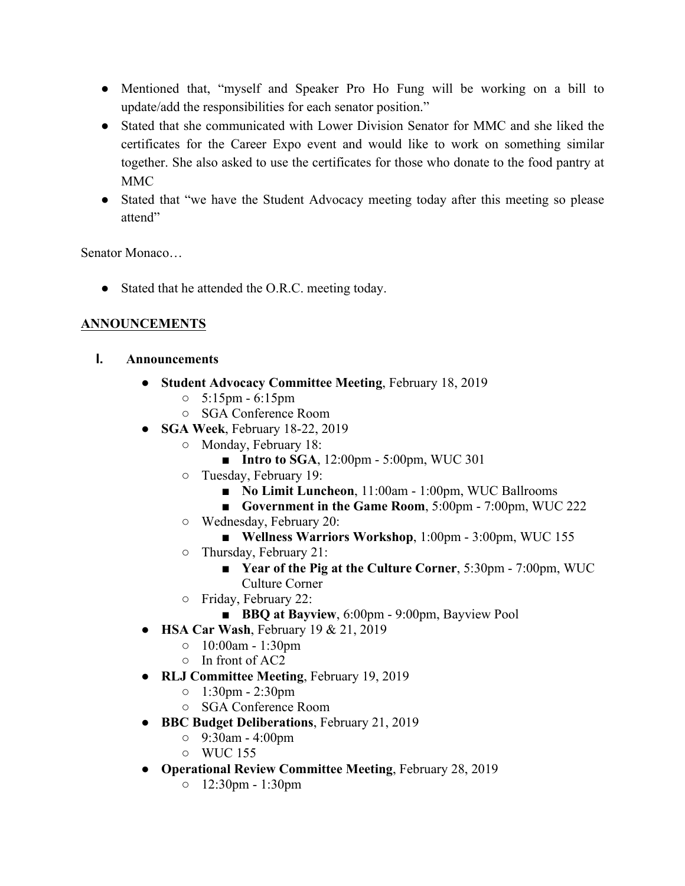- Mentioned that, "myself and Speaker Pro Ho Fung will be working on a bill to update/add the responsibilities for each senator position."
- Stated that she communicated with Lower Division Senator for MMC and she liked the certificates for the Career Expo event and would like to work on something similar together. She also asked to use the certificates for those who donate to the food pantry at MMC
- Stated that "we have the Student Advocacy meeting today after this meeting so please attend"

Senator Monaco…

• Stated that he attended the O.R.C. meeting today.

# **ANNOUNCEMENTS**

- **I. Announcements**
	- **Student Advocacy Committee Meeting**, February 18, 2019
		- $\circ$  5:15pm 6:15pm
		- SGA Conference Room
	- **SGA Week**, February 18-22, 2019
		- Monday, February 18:
			- **Intro to SGA**, 12:00pm 5:00pm, WUC 301
		- Tuesday, February 19:
			- **No Limit Luncheon**, 11:00am 1:00pm, WUC Ballrooms
			- **Government in the Game Room**, 5:00pm 7:00pm, WUC 222
		- Wednesday, February 20:
			- **Wellness Warriors Workshop**, 1:00pm 3:00pm, WUC 155
		- Thursday, February 21:
			- **Year of the Pig at the Culture Corner**, 5:30pm 7:00pm, WUC Culture Corner
		- Friday, February 22:
			- **BBQ at Bayview**, 6:00pm 9:00pm, Bayview Pool
	- **HSA Car Wash**, February 19 & 21, 2019
		- 10:00am 1:30pm
		- In front of AC2
	- **RLJ Committee Meeting**, February 19, 2019
		- 1:30pm 2:30pm
		- SGA Conference Room
	- **BBC Budget Deliberations**, February 21, 2019
		- 9:30am 4:00pm
		- WUC 155
	- **Operational Review Committee Meeting**, February 28, 2019
		- 12:30pm 1:30pm